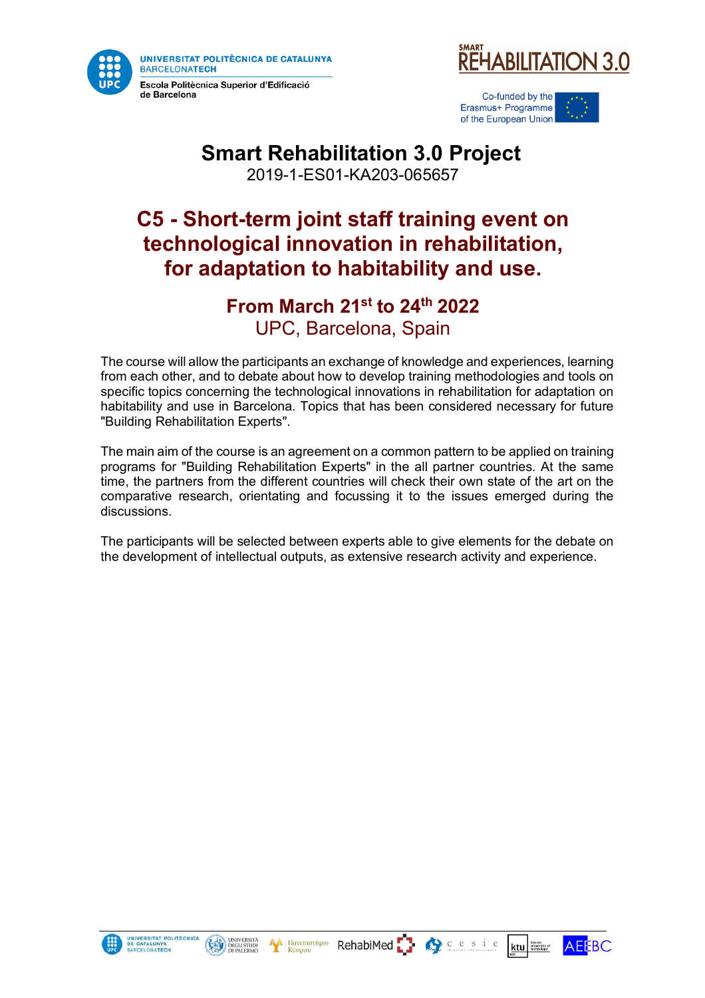

de Barcelona





# **Smart Rehabilitation 3.0 Project**

2019-1-ES01-KA203-065657

## **C5 - Short-term joint staff training event on technological innovation in rehabilitation, for adaptation to habitability and use.**

#### **From March 21st to 24th 2022** UPC, Barcelona, Spain

The course will allow the participants an exchange of knowledge and experiences, learning from each other, and to debate about how to develop training methodologies and tools on specific topics concerning the technological innovations in rehabilitation for adaptation on habitability and use in Barcelona. Topics that has been considered necessary for future "Building Rehabilitation Experts".

The main aim of the course is an agreement on a common pattern to be applied on training programs for "Building Rehabilitation Experts" in the all partner countries. At the same time, the partners from the different countries will check their own state of the art on the comparative research, orientating and focussing it to the issues emerged during the discussions.

The participants will be selected between experts able to give elements for the debate on the development of intellectual outputs, as extensive research activity and experience.





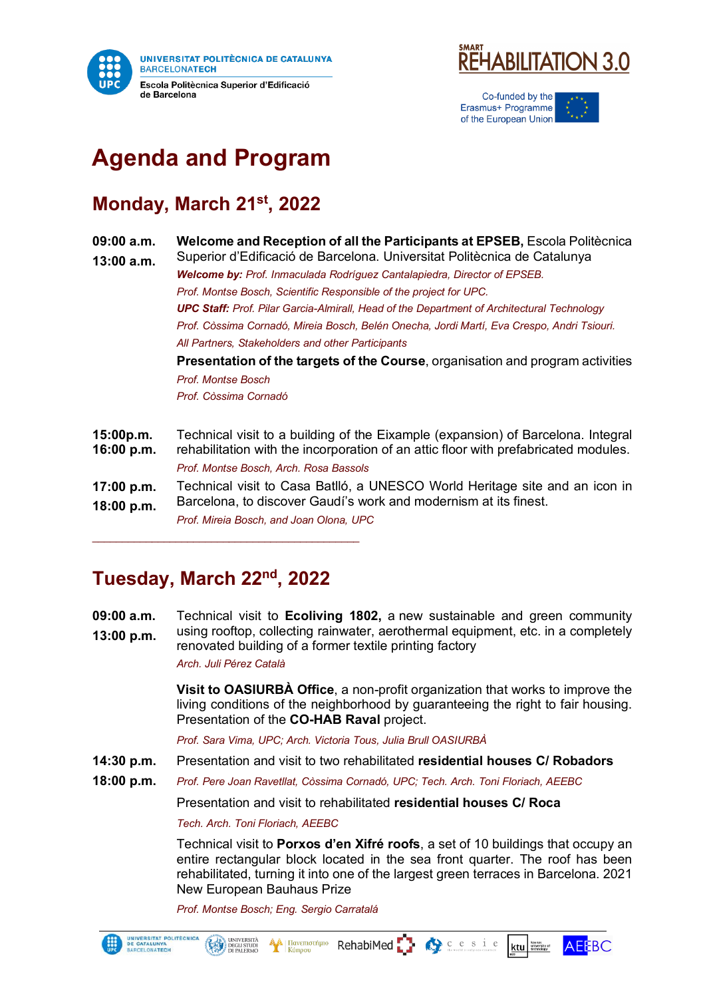



Co-funded by the Erasmus+ Programme of the European Union

# **Agenda and Program**

### **Monday, March 21st, 2022**

**09:00 a.m. Welcome and Reception of all the Participants at EPSEB,** Escola Politècnica

**13:00 a.m.** Superior d'Edificació de Barcelona. Universitat Politècnica de Catalunya *Welcome by: Prof. Inmaculada Rodríguez Cantalapiedra, Director of EPSEB. Prof. Montse Bosch, Scientific Responsible of the project for UPC. UPC Staff: Prof. Pilar Garcia-Almirall, Head of the Department of Architectural Technology Prof. Còssima Cornadó, Mireia Bosch, Belén Onecha, Jordi Martí, Eva Crespo, Andri Tsiouri. All Partners, Stakeholders and other Participants* **Presentation of the targets of the Course**, organisation and program activities

*Prof. Montse Bosch Prof. Còssima Cornadó*

| 15:00p.m.  | Technical visit to a building of the Eixample (expansion) of Barcelona. Integral    |
|------------|-------------------------------------------------------------------------------------|
| 16:00 p.m. | rehabilitation with the incorporation of an attic floor with prefabricated modules. |
|            | Prof. Montse Bosch, Arch. Rosa Bassols                                              |
| 17:00 p.m. | Technical visit to Casa Batlló, a UNESCO World Heritage site and an icon in         |
| 18:00 p.m. | Barcelona, to discover Gaudi's work and modernism at its finest.                    |
|            | Prof. Mireia Bosch, and Joan Olona, UPC                                             |

#### **Tuesday, March 22nd , 2022**

 $\mathcal{L}_\text{max}$  , and the set of the set of the set of the set of the set of the set of the set of the set of the set of the set of the set of the set of the set of the set of the set of the set of the set of the set of the

**09:00 a.m. 13:00 p.m.** Technical visit to **Ecoliving 1802,** a new sustainable and green community using rooftop, collecting rainwater, aerothermal equipment, etc. in a completely renovated building of a former textile printing factory

*Arch. Juli Pérez Català*

**Visit to OASIURBÀ Office**, a non-profit organization that works to improve the living conditions of the neighborhood by guaranteeing the right to fair housing. Presentation of the **CO-HAB Raval** project.

*Prof. Sara Vima, UPC; Arch. Victoria Tous, Julia Brull OASIURBÀ* 

- **14:30 p.m.** Presentation and visit to two rehabilitated **residential houses C/ Robadors**
- **18:00 p.m.** *Prof. Pere Joan Ravetllat, Còssima Cornadó, UPC; Tech. Arch. Toni Floriach, AEEBC*

Presentation and visit to rehabilitated **residential houses C/ Roca**

*Tech. Arch. Toni Floriach, AEEBC*

UNIVERSITÀ

Technical visit to **Porxos d'en Xifré roofs**, a set of 10 buildings that occupy an entire rectangular block located in the sea front quarter. The roof has been rehabilitated, turning it into one of the largest green terraces in Barcelona. 2021 New European Bauhaus Prize

*Prof. Montse Bosch; Eng. Sergio Carratalá*